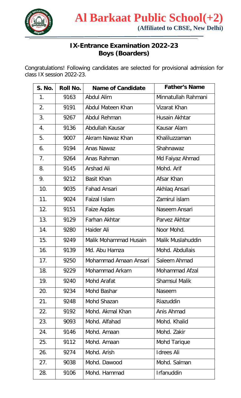

## **IX-Entrance Examination 2022-23 Boys (Boarders)**

Congratulations! Following candidates are selected for provisional admission for class IX session 2022-23.

| <b>S. No.</b>  | <b>Roll No.</b> | <b>Name of Candidate</b> | <b>Father's Name</b> |
|----------------|-----------------|--------------------------|----------------------|
| 1 <sub>1</sub> | 9163            | <b>Abdul Alim</b>        | Minnatullah Rahmani  |
| 2.             | 9191            | Abdul Mateen Khan        | Vizarat Khan         |
| 3.             | 9267            | Abdul Rehman             | Husain Akhtar        |
| 4.             | 9136            | Abdullah Kausar          | Kausar Alam          |
| 5.             | 9007            | Akram Nawaz Khan         | Khaliluzzaman        |
| 6.             | 9194            | Anas Nawaz               | Shahnawaz            |
| 7 <sub>1</sub> | 9264            | Anas Rahman              | Md Faiyaz Ahmad      |
| 8.             | 9145            | <b>Arshad Ali</b>        | Mohd. Arif           |
| 9.             | 9212            | <b>Basit Khan</b>        | Afsar Khan           |
| 10.            | 9035            | <b>Fahad Ansari</b>      | Akhlaq Ansari        |
| 11.            | 9024            | Faizal Islam             | Zamirul islam        |
| 12.            | 9151            | Faize Agdas              | Naseem Ansari        |
| 13.            | 9129            | Farhan Akhtar            | Parvez Akhtar        |
| 14.            | 9280            | Haider Ali               | Noor Mohd.           |
| 15.            | 9249            | Malik Mohammad Husain    | Malik Muslahuddin    |
| 16.            | 9139            | Md. Abu Hamza            | Mohd. Abdullais      |
| 17.            | 9250            | Mohammad Amaan Ansari    | Saleem Ahmad         |
| 18.            | 9229            | Mohammad Arkam           | Mohammad Afzal       |
| 19.            | 9240            | Mohd Arafat              | <b>Shamsul Malik</b> |
| 20.            | 9234            | Mohd Bashar              | Naseem               |
| 21.            | 9248            | Mohd Shazan              | Riazuddin            |
| 22.            | 9192            | Mohd. Akmal Khan         | Anis Ahmad           |
| 23.            | 9093            | Mohd. Alfahad            | Mohd. Khalid         |
| 24.            | 9146            | Mohd. Amaan              | Mohd. Zakir          |
| 25.            | 9112            | Mohd. Amaan              | Mohd Tarique         |
| 26.            | 9274            | Mohd. Arish              | <b>Idrees Ali</b>    |
| 27.            | 9038            | Mohd. Dawood             | Mohd. Salman         |
| 28.            | 9106            | Mohd. Hammad             | <b>Irfanuddin</b>    |